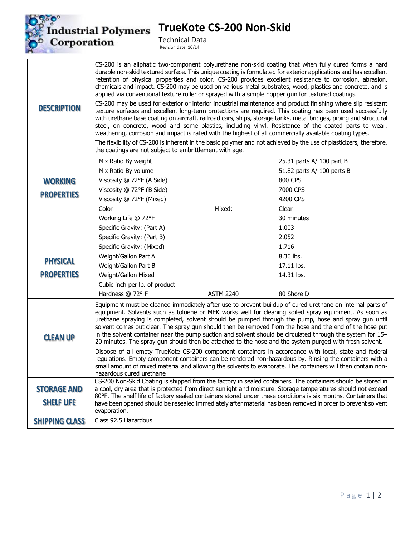

## **TrueKote CS-200 Non-Skid**

Technical Data Revision date: 10/14

| <b>DESCRIPTION</b>    | CS-200 is an aliphatic two-component polyurethane non-skid coating that when fully cured forms a hard<br>durable non-skid textured surface. This unique coating is formulated for exterior applications and has excellent<br>retention of physical properties and color. CS-200 provides excellent resistance to corrosion, abrasion,<br>chemicals and impact. CS-200 may be used on various metal substrates, wood, plastics and concrete, and is<br>applied via conventional texture roller or sprayed with a simple hopper gun for textured coatings.<br>CS-200 may be used for exterior or interior industrial maintenance and product finishing where slip resistant<br>texture surfaces and excellent long-term protections are required. This coating has been used successfully<br>with urethane base coating on aircraft, railroad cars, ships, storage tanks, metal bridges, piping and structural<br>steel, on concrete, wood and some plastics, including vinyl. Resistance of the coated parts to wear,<br>weathering, corrosion and impact is rated with the highest of all commercially available coating types.<br>The flexibility of CS-200 is inherent in the basic polymer and not achieved by the use of plasticizers, therefore,<br>the coatings are not subject to embrittlement with age. |                  |                                                                                                                                                                                                                         |  |
|-----------------------|------------------------------------------------------------------------------------------------------------------------------------------------------------------------------------------------------------------------------------------------------------------------------------------------------------------------------------------------------------------------------------------------------------------------------------------------------------------------------------------------------------------------------------------------------------------------------------------------------------------------------------------------------------------------------------------------------------------------------------------------------------------------------------------------------------------------------------------------------------------------------------------------------------------------------------------------------------------------------------------------------------------------------------------------------------------------------------------------------------------------------------------------------------------------------------------------------------------------------------------------------------------------------------------------------------------|------------------|-------------------------------------------------------------------------------------------------------------------------------------------------------------------------------------------------------------------------|--|
|                       | Mix Ratio By weight                                                                                                                                                                                                                                                                                                                                                                                                                                                                                                                                                                                                                                                                                                                                                                                                                                                                                                                                                                                                                                                                                                                                                                                                                                                                                              |                  | 25.31 parts A/ 100 part B                                                                                                                                                                                               |  |
|                       | Mix Ratio By volume                                                                                                                                                                                                                                                                                                                                                                                                                                                                                                                                                                                                                                                                                                                                                                                                                                                                                                                                                                                                                                                                                                                                                                                                                                                                                              |                  | 51.82 parts A/ 100 parts B                                                                                                                                                                                              |  |
| <b>WORKING</b>        | Viscosity @ 72°F (A Side)                                                                                                                                                                                                                                                                                                                                                                                                                                                                                                                                                                                                                                                                                                                                                                                                                                                                                                                                                                                                                                                                                                                                                                                                                                                                                        |                  | 800 CPS                                                                                                                                                                                                                 |  |
|                       | Viscosity @ 72°F (B Side)                                                                                                                                                                                                                                                                                                                                                                                                                                                                                                                                                                                                                                                                                                                                                                                                                                                                                                                                                                                                                                                                                                                                                                                                                                                                                        |                  | 7000 CPS                                                                                                                                                                                                                |  |
| <b>PROPERTIES</b>     | Viscosity @ 72°F (Mixed)                                                                                                                                                                                                                                                                                                                                                                                                                                                                                                                                                                                                                                                                                                                                                                                                                                                                                                                                                                                                                                                                                                                                                                                                                                                                                         |                  | 4200 CPS                                                                                                                                                                                                                |  |
|                       | Color                                                                                                                                                                                                                                                                                                                                                                                                                                                                                                                                                                                                                                                                                                                                                                                                                                                                                                                                                                                                                                                                                                                                                                                                                                                                                                            | Mixed:           | Clear                                                                                                                                                                                                                   |  |
|                       | Working Life @ 72°F                                                                                                                                                                                                                                                                                                                                                                                                                                                                                                                                                                                                                                                                                                                                                                                                                                                                                                                                                                                                                                                                                                                                                                                                                                                                                              |                  | 30 minutes                                                                                                                                                                                                              |  |
|                       | Specific Gravity: (Part A)                                                                                                                                                                                                                                                                                                                                                                                                                                                                                                                                                                                                                                                                                                                                                                                                                                                                                                                                                                                                                                                                                                                                                                                                                                                                                       |                  | 1.003                                                                                                                                                                                                                   |  |
|                       | Specific Gravity: (Part B)                                                                                                                                                                                                                                                                                                                                                                                                                                                                                                                                                                                                                                                                                                                                                                                                                                                                                                                                                                                                                                                                                                                                                                                                                                                                                       |                  | 2.052                                                                                                                                                                                                                   |  |
|                       | Specific Gravity: (Mixed)                                                                                                                                                                                                                                                                                                                                                                                                                                                                                                                                                                                                                                                                                                                                                                                                                                                                                                                                                                                                                                                                                                                                                                                                                                                                                        |                  | 1.716                                                                                                                                                                                                                   |  |
| <b>PHYSICAL</b>       | Weight/Gallon Part A                                                                                                                                                                                                                                                                                                                                                                                                                                                                                                                                                                                                                                                                                                                                                                                                                                                                                                                                                                                                                                                                                                                                                                                                                                                                                             |                  | 8.36 lbs.                                                                                                                                                                                                               |  |
|                       | Weight/Gallon Part B                                                                                                                                                                                                                                                                                                                                                                                                                                                                                                                                                                                                                                                                                                                                                                                                                                                                                                                                                                                                                                                                                                                                                                                                                                                                                             |                  | 17.11 lbs.                                                                                                                                                                                                              |  |
| <b>PROPERTIES</b>     | Weight/Gallon Mixed                                                                                                                                                                                                                                                                                                                                                                                                                                                                                                                                                                                                                                                                                                                                                                                                                                                                                                                                                                                                                                                                                                                                                                                                                                                                                              |                  | 14.31 lbs.                                                                                                                                                                                                              |  |
|                       | Cubic inch per lb. of product                                                                                                                                                                                                                                                                                                                                                                                                                                                                                                                                                                                                                                                                                                                                                                                                                                                                                                                                                                                                                                                                                                                                                                                                                                                                                    |                  |                                                                                                                                                                                                                         |  |
|                       | Hardness @ 72° F                                                                                                                                                                                                                                                                                                                                                                                                                                                                                                                                                                                                                                                                                                                                                                                                                                                                                                                                                                                                                                                                                                                                                                                                                                                                                                 | <b>ASTM 2240</b> | 80 Shore D                                                                                                                                                                                                              |  |
| <b>CLEAN UP</b>       | Equipment must be cleaned immediately after use to prevent buildup of cured urethane on internal parts of<br>equipment. Solvents such as toluene or MEK works well for cleaning soiled spray equipment. As soon as<br>urethane spraying is completed, solvent should be pumped through the pump, hose and spray gun until<br>solvent comes out clear. The spray gun should then be removed from the hose and the end of the hose put<br>in the solvent container near the pump suction and solvent should be circulated through the system for 15–<br>20 minutes. The spray gun should then be attached to the hose and the system purged with fresh solvent.<br>Dispose of all empty TrueKote CS-200 component containers in accordance with local, state and federal                                                                                                                                                                                                                                                                                                                                                                                                                                                                                                                                           |                  |                                                                                                                                                                                                                         |  |
|                       | hazardous cured urethane                                                                                                                                                                                                                                                                                                                                                                                                                                                                                                                                                                                                                                                                                                                                                                                                                                                                                                                                                                                                                                                                                                                                                                                                                                                                                         |                  | regulations. Empty component containers can be rendered non-hazardous by. Rinsing the containers with a<br>small amount of mixed material and allowing the solvents to evaporate. The containers will then contain non- |  |
| <b>STORAGE AND</b>    | CS-200 Non-Skid Coating is shipped from the factory in sealed containers. The containers should be stored in<br>a cool, dry area that is protected from direct sunlight and moisture. Storage temperatures should not exceed                                                                                                                                                                                                                                                                                                                                                                                                                                                                                                                                                                                                                                                                                                                                                                                                                                                                                                                                                                                                                                                                                     |                  |                                                                                                                                                                                                                         |  |
|                       | 80°F. The shelf life of factory sealed containers stored under these conditions is six months. Containers that                                                                                                                                                                                                                                                                                                                                                                                                                                                                                                                                                                                                                                                                                                                                                                                                                                                                                                                                                                                                                                                                                                                                                                                                   |                  |                                                                                                                                                                                                                         |  |
| <b>SHELF LIFE</b>     | have been opened should be resealed immediately after material has been removed in order to prevent solvent<br>evaporation.                                                                                                                                                                                                                                                                                                                                                                                                                                                                                                                                                                                                                                                                                                                                                                                                                                                                                                                                                                                                                                                                                                                                                                                      |                  |                                                                                                                                                                                                                         |  |
| <b>SHIPPING CLASS</b> | Class 92.5 Hazardous                                                                                                                                                                                                                                                                                                                                                                                                                                                                                                                                                                                                                                                                                                                                                                                                                                                                                                                                                                                                                                                                                                                                                                                                                                                                                             |                  |                                                                                                                                                                                                                         |  |
|                       |                                                                                                                                                                                                                                                                                                                                                                                                                                                                                                                                                                                                                                                                                                                                                                                                                                                                                                                                                                                                                                                                                                                                                                                                                                                                                                                  |                  |                                                                                                                                                                                                                         |  |